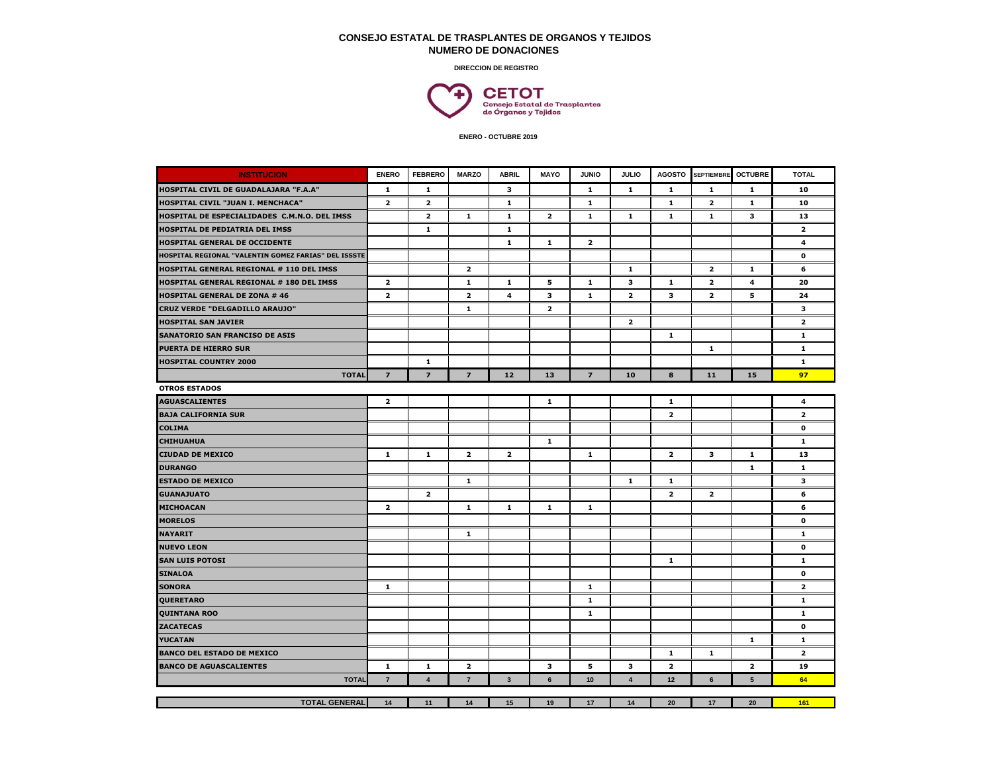## **CONSEJO ESTATAL DE TRASPLANTES DE ORGANOS Y TEJIDOS NUMERO DE DONACIONES**

**DIRECCION DE REGISTRO**



 **ENERO - OCTUBRE 2019**

| <b>INSTITUCION</b>                                   | <b>ENERO</b>            | <b>FEBRERO</b>          | <b>MARZO</b>            | <b>ABRIL</b> | <b>MAYO</b>    | <b>JUNIO</b>            | <b>JULIO</b>            | <b>AGOSTO</b>           | <b>SEPTIEMBRE</b>       | <b>OCTUBRE</b>          | <b>TOTAL</b>            |
|------------------------------------------------------|-------------------------|-------------------------|-------------------------|--------------|----------------|-------------------------|-------------------------|-------------------------|-------------------------|-------------------------|-------------------------|
| HOSPITAL CIVIL DE GUADALAJARA "F.A.A"                | $\mathbf{1}$            | 1                       |                         | 3            |                | $\mathbf{1}$            | $\mathbf{1}$            | $\mathbf{1}$            | 1                       | 1                       | 10                      |
| HOSPITAL CIVIL "JUAN I. MENCHACA"                    | $\overline{\mathbf{2}}$ | $\overline{\mathbf{2}}$ |                         | $\mathbf{1}$ |                | $\mathbf{1}$            |                         | $\mathbf{1}$            | $\overline{2}$          | 1                       | 10                      |
| HOSPITAL DE ESPECIALIDADES C.M.N.O. DEL IMSS         |                         | $\overline{2}$          | $\mathbf{1}$            | $\mathbf{1}$ | $\overline{2}$ | $\mathbf{1}$            | $\mathbf{1}$            | $\mathbf{1}$            | $\mathbf{1}$            | 3                       | 13                      |
| HOSPITAL DE PEDIATRIA DEL IMSS                       |                         | $\mathbf{1}$            |                         | $\mathbf 1$  |                |                         |                         |                         |                         |                         | $\overline{\mathbf{z}}$ |
| <b>HOSPITAL GENERAL DE OCCIDENTE</b>                 |                         |                         |                         | 1            | $\mathbf{1}$   | $\overline{\mathbf{2}}$ |                         |                         |                         |                         | 4                       |
| HOSPITAL REGIONAL "VALENTIN GOMEZ FARIAS" DEL ISSSTE |                         |                         |                         |              |                |                         |                         |                         |                         |                         | $\mathbf 0$             |
| HOSPITAL GENERAL REGIONAL # 110 DEL IMSS             |                         |                         | $\overline{\mathbf{2}}$ |              |                |                         | $\mathbf{1}$            |                         | $\overline{\mathbf{2}}$ | $\mathbf{1}$            | 6                       |
| HOSPITAL GENERAL REGIONAL # 180 DEL IMSS             | $\overline{\mathbf{2}}$ |                         | $\mathbf{1}$            | 1            | 5              | $\mathbf{1}$            | 3                       | $\mathbf{1}$            | $\overline{2}$          | 4                       | 20                      |
| <b>HOSPITAL GENERAL DE ZONA # 46</b>                 | $\overline{\mathbf{z}}$ |                         | $\overline{\mathbf{2}}$ | 4            | з              | $\mathbf{1}$            | $\overline{\mathbf{2}}$ | 3                       | $\overline{\mathbf{2}}$ | 5                       | 24                      |
| CRUZ VERDE "DELGADILLO ARAUJO"                       |                         |                         | $\mathbf{1}$            |              | $\mathbf{z}$   |                         |                         |                         |                         |                         | 3                       |
| <b>HOSPITAL SAN JAVIER</b>                           |                         |                         |                         |              |                |                         | $\overline{\mathbf{2}}$ |                         |                         |                         | $\overline{2}$          |
| <b>SANATORIO SAN FRANCISO DE ASIS</b>                |                         |                         |                         |              |                |                         |                         | $\mathbf{1}$            |                         |                         | $\mathbf{1}$            |
| <b>PUERTA DE HIERRO SUR</b>                          |                         |                         |                         |              |                |                         |                         |                         | $\mathbf{1}$            |                         | $\mathbf{1}$            |
| <b>HOSPITAL COUNTRY 2000</b>                         |                         | 1                       |                         |              |                |                         |                         |                         |                         |                         | $\mathbf{1}$            |
| <b>TOTAL</b>                                         | $\overline{z}$          | $\overline{z}$          | $\overline{7}$          | 12           | 13             | $\overline{z}$          | 10                      | 8                       | 11                      | 15                      | 97                      |
| <b>OTROS ESTADOS</b>                                 |                         |                         |                         |              |                |                         |                         |                         |                         |                         |                         |
| <b>AGUASCALIENTES</b>                                | $\overline{\mathbf{z}}$ |                         |                         |              | $\mathbf 1$    |                         |                         | $\mathbf{1}$            |                         |                         | 4                       |
| BAJA CALIFORNIA SUR                                  |                         |                         |                         |              |                |                         |                         | $\overline{\mathbf{z}}$ |                         |                         | $\overline{\mathbf{z}}$ |
| <b>COLIMA</b>                                        |                         |                         |                         |              |                |                         |                         |                         |                         |                         | $\mathbf 0$             |
| <b>CHIHUAHUA</b>                                     |                         |                         |                         |              | $\mathbf 1$    |                         |                         |                         |                         |                         | $\mathbf{1}$            |
| <b>CIUDAD DE MEXICO</b>                              | $\mathbf{1}$            | $\mathbf{1}$            | $\overline{\mathbf{2}}$ | $\mathbf{z}$ |                | $\mathbf{1}$            |                         | $\overline{\mathbf{2}}$ | 3                       | $\mathbf{1}$            | 13                      |
| DURANGO                                              |                         |                         |                         |              |                |                         |                         |                         |                         | $\mathbf{1}$            | $\mathbf{1}$            |
| <b>ESTADO DE MEXICO</b>                              |                         |                         | $\mathbf{1}$            |              |                |                         | $\mathbf{1}$            | $\mathbf{1}$            |                         |                         | 3                       |
| <b>GUANAJUATO</b>                                    |                         | $\overline{\mathbf{2}}$ |                         |              |                |                         |                         | $\overline{\mathbf{2}}$ | $\overline{2}$          |                         | 6                       |
| MICHOACAN                                            | $\overline{\mathbf{2}}$ |                         | $\mathbf{1}$            | $\mathbf{1}$ | $\mathbf{1}$   | $\mathbf{1}$            |                         |                         |                         |                         | 6                       |
| <b>MORELOS</b>                                       |                         |                         |                         |              |                |                         |                         |                         |                         |                         | 0                       |
| <b>NAYARIT</b>                                       |                         |                         | $\mathbf{1}$            |              |                |                         |                         |                         |                         |                         | 1                       |
| <b>NUEVO LEON</b>                                    |                         |                         |                         |              |                |                         |                         |                         |                         |                         | $\mathbf o$             |
| SAN LUIS POTOSI                                      |                         |                         |                         |              |                |                         |                         | $\mathbf{1}$            |                         |                         | $\mathbf{1}$            |
| <b>SINALOA</b>                                       |                         |                         |                         |              |                |                         |                         |                         |                         |                         | $\mathbf{o}$            |
| <b>SONORA</b>                                        | 1                       |                         |                         |              |                | $\mathbf{1}$            |                         |                         |                         |                         | $\overline{2}$          |
| QUERETARO                                            |                         |                         |                         |              |                | 1                       |                         |                         |                         |                         | 1                       |
| <b>QUINTANA ROO</b>                                  |                         |                         |                         |              |                | $\mathbf{1}$            |                         |                         |                         |                         | $\mathbf{1}$            |
| <b>ZACATECAS</b>                                     |                         |                         |                         |              |                |                         |                         |                         |                         |                         | $\mathbf{o}$            |
| YUCATAN                                              |                         |                         |                         |              |                |                         |                         |                         |                         | $\mathbf{1}$            | $\mathbf{1}$            |
| <b>BANCO DEL ESTADO DE MEXICO</b>                    |                         |                         |                         |              |                |                         |                         | $\mathbf{1}$            | 1                       |                         | $\overline{2}$          |
| <b>BANCO DE AGUASCALIENTES</b>                       | $\mathbf{1}$            | $\mathbf{1}$            | $\overline{2}$          |              | 3              | 5                       | 3                       | $\overline{2}$          |                         | $\overline{\mathbf{2}}$ | 19                      |
| <b>TOTAL</b>                                         | $\overline{7}$          | $\overline{\mathbf{4}}$ | $\overline{7}$          | $\mathbf{3}$ | 6              | 10                      | $\overline{\mathbf{4}}$ | 12                      | $6\phantom{1}$          | 5                       | 64                      |
|                                                      |                         |                         |                         |              |                |                         |                         |                         |                         |                         |                         |
| <b>TOTAL GENERAL</b>                                 | 14                      | 11                      | 14                      | 15           | 19             | 17                      | 14                      | 20                      | 17                      | 20                      | 161                     |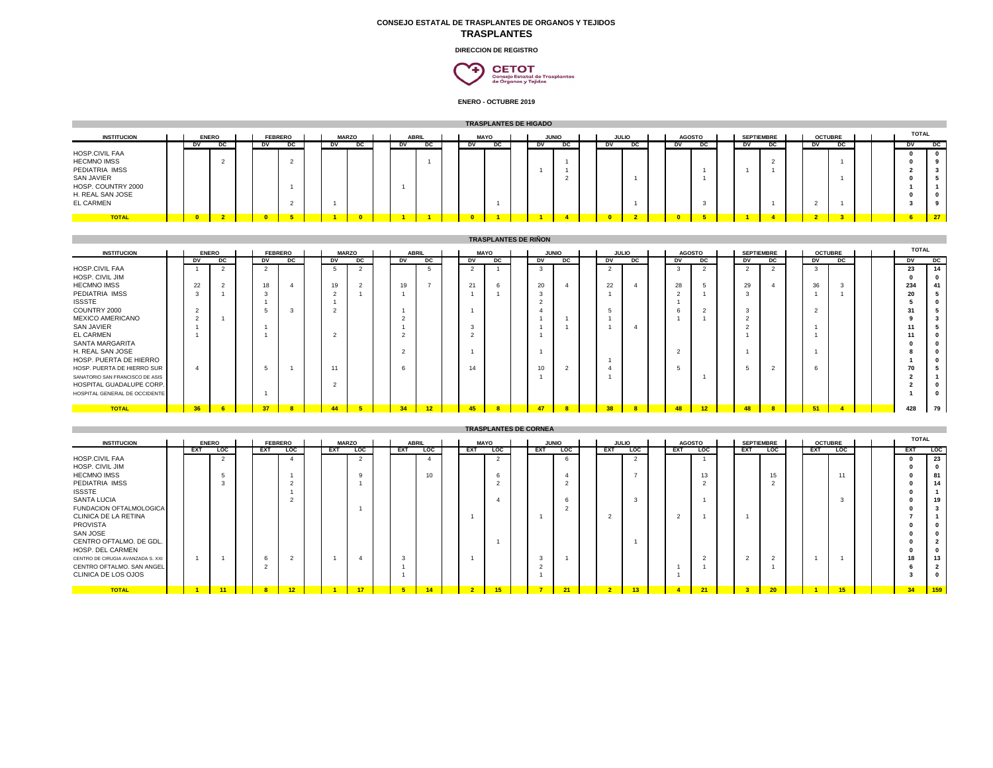## **CONSEJO ESTATAL DE TRASPLANTES DE ORGANOS Y TEJIDOS TRASPLANTES**

**DIRECCION DE REGISTRO**



**ENERO - OCTUBRE 2019**

|                                                                                                                                                                                                                                                                                                                                                                | <b>TRASPLANTES DE HIGADO</b> |                                                                                 |                                                   |  |                                                 |                                                                                              |  |                                                                                                         |                                                                            |  |                                                                                 |                                    |  |                                                                                                         |                                                          |                                                      |                                                  |                                       |                                                     |                                                                                   |                                                                                          |                                                                                                |                                                     |                                                                        |                       |  |                                                                                                                                                                                                                                |                                                                                                                                                                                                                     |  |  |
|----------------------------------------------------------------------------------------------------------------------------------------------------------------------------------------------------------------------------------------------------------------------------------------------------------------------------------------------------------------|------------------------------|---------------------------------------------------------------------------------|---------------------------------------------------|--|-------------------------------------------------|----------------------------------------------------------------------------------------------|--|---------------------------------------------------------------------------------------------------------|----------------------------------------------------------------------------|--|---------------------------------------------------------------------------------|------------------------------------|--|---------------------------------------------------------------------------------------------------------|----------------------------------------------------------|------------------------------------------------------|--------------------------------------------------|---------------------------------------|-----------------------------------------------------|-----------------------------------------------------------------------------------|------------------------------------------------------------------------------------------|------------------------------------------------------------------------------------------------|-----------------------------------------------------|------------------------------------------------------------------------|-----------------------|--|--------------------------------------------------------------------------------------------------------------------------------------------------------------------------------------------------------------------------------|---------------------------------------------------------------------------------------------------------------------------------------------------------------------------------------------------------------------|--|--|
| <b>INSTITUCION</b>                                                                                                                                                                                                                                                                                                                                             |                              | DV                                                                              | <b>ENERO</b><br>DC                                |  | DV                                              | <b>FEBRERO</b><br>DC.                                                                        |  | <b>MARZO</b><br>DV –                                                                                    | DC                                                                         |  | <b>ABRIL</b><br>DV                                                              | DC                                 |  | <b>MAYO</b><br>DV                                                                                       | $_{\text{DC}}$                                           | DV –                                                 | <b>JUNIO</b><br>DC.                              | <b>JULIO</b><br>$-$ DV                | $_{\text{DC}}$                                      | <b>AGOSTO</b><br>DV                                                               | DC.                                                                                      | DV                                                                                             | <b>SEPTIEMBRE</b><br>DC                             | <b>OCTUBRE</b><br>D <sub>V</sub>                                       | DC                    |  | <b>TOTAL</b><br>DV.                                                                                                                                                                                                            | DC.                                                                                                                                                                                                                 |  |  |
| HOSP.CIVIL FAA<br><b>HECMNO IMSS</b><br>PEDIATRIA IMSS<br>SAN JAVIER<br>HOSP. COUNTRY 2000<br>H. REAL SAN JOSE<br><b>EL CARMEN</b>                                                                                                                                                                                                                             |                              |                                                                                 | $\overline{2}$                                    |  |                                                 | $\overline{2}$<br>-1<br>$\overline{2}$                                                       |  |                                                                                                         |                                                                            |  |                                                                                 |                                    |  |                                                                                                         |                                                          |                                                      | $\overline{1}$<br>2                              |                                       |                                                     |                                                                                   | 3                                                                                        | $\overline{1}$                                                                                 | $\overline{2}$<br>$\overline{1}$                    | $\overline{2}$                                                         |                       |  | $\mathbf 0$<br>$\mathbf 0$<br>$\overline{2}$<br>$\mathbf{0}$<br>$\overline{\mathbf{1}}$<br>$\mathbf{0}$<br>$\mathbf{3}$                                                                                                        | $\mathbf 0$<br>9<br>$\overline{\mathbf{3}}$<br>5<br>$\overline{1}$<br>$\mathbf 0$<br>9                                                                                                                              |  |  |
| <b>TOTAL</b>                                                                                                                                                                                                                                                                                                                                                   |                              | -0                                                                              | 2                                                 |  | $\overline{0}$                                  | 5                                                                                            |  |                                                                                                         |                                                                            |  |                                                                                 |                                    |  |                                                                                                         |                                                          |                                                      |                                                  | o                                     | $\overline{2}$                                      | $\mathbf{0}$                                                                      | 5                                                                                        |                                                                                                | $\overline{4}$                                      | $\overline{2}$                                                         | з                     |  |                                                                                                                                                                                                                                | 27                                                                                                                                                                                                                  |  |  |
| <b>TRASPLANTES DE RIÑON</b>                                                                                                                                                                                                                                                                                                                                    |                              |                                                                                 |                                                   |  |                                                 |                                                                                              |  |                                                                                                         |                                                                            |  |                                                                                 |                                    |  |                                                                                                         |                                                          |                                                      |                                                  |                                       |                                                     |                                                                                   |                                                                                          |                                                                                                |                                                     |                                                                        |                       |  |                                                                                                                                                                                                                                |                                                                                                                                                                                                                     |  |  |
| <b>INSTITUCION</b>                                                                                                                                                                                                                                                                                                                                             |                              |                                                                                 | <b>ENERO</b>                                      |  |                                                 | <b>FEBRERO</b>                                                                               |  | <b>MARZO</b>                                                                                            |                                                                            |  | <b>ABRIL</b>                                                                    |                                    |  | <b>MAYO</b>                                                                                             |                                                          | <b>JUNIO</b>                                         |                                                  | <b>JULIO</b>                          |                                                     | <b>AGOSTO</b>                                                                     |                                                                                          |                                                                                                | <b>SEPTIEMBRE</b>                                   | <b>OCTUBRE</b>                                                         |                       |  | <b>TOTAL</b>                                                                                                                                                                                                                   |                                                                                                                                                                                                                     |  |  |
|                                                                                                                                                                                                                                                                                                                                                                |                              | DV.                                                                             | DC.                                               |  | DV.                                             | DC                                                                                           |  | D <sub>V</sub>                                                                                          | DC                                                                         |  | D <sub>V</sub>                                                                  | DC .                               |  | <b>DV</b>                                                                                               | DC                                                       | D <sub>V</sub>                                       | DC.                                              | D <sub>V</sub>                        | DC                                                  | D <sub>V</sub>                                                                    | DC.                                                                                      | D <sub>V</sub>                                                                                 | DC                                                  | DV.                                                                    | DC                    |  | DV.                                                                                                                                                                                                                            | DC                                                                                                                                                                                                                  |  |  |
| HOSP.CIVIL FAA<br>HOSP, CIVIL JIM<br><b>HECMNO IMSS</b><br>PEDIATRIA IMSS<br><b>ISSSTE</b><br>COUNTRY 2000<br>MEXICO AMERICANO<br>SAN JAVIER<br><b>EL CARMEN</b><br>SANTA MARGARITA<br>H. REAL SAN JOSE<br>HOSP. PUERTA DE HIERRO<br>HOSP. PUERTA DE HIERRO SUR<br>SANATORIO SAN FRANCISCO DE ASIS<br>HOSPITAL GUADALUPE CORP<br>HOSPITAL GENERAL DE OCCIDENTE |                              | 22<br>3<br>$\overline{\phantom{a}}$<br>$\overline{2}$<br>$\boldsymbol{\Lambda}$ | $\overline{2}$<br>$\overline{2}$                  |  | $\overline{2}$<br>18<br>3<br>-1<br>5<br>-1<br>5 | $\overline{4}$<br>3                                                                          |  | 5<br>19<br>$\overline{2}$<br>$\overline{1}$<br>$\overline{2}$<br>$\overline{2}$<br>11<br>$\overline{2}$ | $\overline{2}$<br>$\overline{2}$<br>$\overline{1}$                         |  | 19<br>$\overline{1}$<br>$\overline{2}$<br>$\overline{2}$<br>$\overline{2}$<br>6 | 5<br>$\overline{7}$                |  | $\overline{2}$<br>21<br>$\overline{1}$<br>$\overline{1}$<br>3<br>$\overline{2}$<br>$\overline{1}$<br>14 | $\overline{1}$<br>6                                      | 3<br>20<br>3<br>$\overline{2}$<br>$\mathbf{A}$<br>10 | $\overline{4}$<br>×<br>$\overline{2}$            | $\overline{2}$<br>22<br>5<br>$\Delta$ | $\Delta$<br>$\Lambda$                               | 3<br>28<br>$\overline{2}$<br>6<br>$\overline{1}$<br>$\overline{\phantom{a}}$<br>5 | $\overline{2}$<br>5<br>-1<br>$\overline{2}$                                              | $\overline{2}$<br>29<br>3<br>$\overline{\mathbf{3}}$<br>$\overline{2}$<br>$\overline{2}$<br>-5 | $\overline{2}$<br>$\mathbf{A}$<br>$\overline{2}$    | $\overline{\mathbf{3}}$<br>36<br>$\overline{1}$<br>$\overline{2}$<br>6 | 3                     |  | 23<br>$\mathbf 0$<br>234<br>20<br>5<br>31<br>9<br>11<br>11<br>$\Omega$<br>8<br>$\overline{\mathbf{1}}$<br>70<br>$\overline{2}$<br>$\overline{2}$<br>-1                                                                         | 14<br>$\mathbf 0$<br>41<br>$\sqrt{5}$<br>$\mathbf{0}$<br>5<br>$\overline{\mathbf{3}}$<br>5<br>$\mathbf{0}$<br>$\mathbf 0$<br>$\mathbf{0}$<br>$\pmb{0}$<br>5<br>$\overline{1}$<br>$\mathbf{0}$<br>$\mathbf 0$        |  |  |
| <b>TOTAL</b>                                                                                                                                                                                                                                                                                                                                                   |                              | 36                                                                              | -6                                                |  | 37                                              | 8                                                                                            |  | 44                                                                                                      | -5                                                                         |  | 34                                                                              | 12                                 |  | 45                                                                                                      | $\overline{\mathbf{8}}$                                  | 47                                                   | $\overline{\mathbf{8}}$                          | 38                                    | $\overline{\mathbf{8}}$                             | 48                                                                                | 12                                                                                       | 48                                                                                             | $\overline{\mathbf{8}}$                             | 51                                                                     | $\boldsymbol{A}$      |  | 428                                                                                                                                                                                                                            | 79                                                                                                                                                                                                                  |  |  |
|                                                                                                                                                                                                                                                                                                                                                                |                              |                                                                                 |                                                   |  |                                                 |                                                                                              |  |                                                                                                         |                                                                            |  |                                                                                 |                                    |  |                                                                                                         |                                                          | <b>TRASPLANTES DE CORNEA</b>                         |                                                  |                                       |                                                     |                                                                                   |                                                                                          |                                                                                                |                                                     |                                                                        |                       |  |                                                                                                                                                                                                                                |                                                                                                                                                                                                                     |  |  |
| <b>INSTITUCION</b>                                                                                                                                                                                                                                                                                                                                             |                              |                                                                                 | <b>ENERO</b>                                      |  |                                                 | <b>FEBRERO</b>                                                                               |  | <b>MARZO</b>                                                                                            |                                                                            |  | <b>ABRIL</b>                                                                    |                                    |  | <b>MAYO</b>                                                                                             |                                                          |                                                      | <b>JUNIO</b>                                     | <b>JULIO</b>                          |                                                     | <b>AGOSTO</b>                                                                     |                                                                                          |                                                                                                | <b>SEPTIEMBRE</b>                                   | <b>OCTUBRE</b>                                                         |                       |  | <b>TOTAL</b>                                                                                                                                                                                                                   |                                                                                                                                                                                                                     |  |  |
| <b>HOSP.CIVIL FAA</b><br>HOSP, CIVIL JIM<br><b>HECMNO IMSS</b><br>PEDIATRIA IMSS<br><b>ISSSTE</b><br><b>SANTA LUCIA</b><br>FUNDACION OFTALMOLOGICA<br>CLINICA DE LA RETINA<br>PROVISTA<br>SAN JOSE<br>CENTRO OFTALMO. DE GDL<br>HOSP. DEL CARMEN<br>CENTRO DE CIRUGIA AVANZADA S. XXI<br>CENTRO OFTALMO. SAN ANGEL<br>CLINICA DE LOS OJOS                      |                              | EXT                                                                             | <b>LOC</b><br>$\overline{2}$<br>5<br>$\mathbf{R}$ |  | EXT<br>-6<br>$\mathcal{P}$                      | <b>LOC</b><br>$\overline{4}$<br>$\overline{2}$<br>$\overline{\phantom{a}}$<br>$\overline{2}$ |  | EXT<br>-1                                                                                               | <b>LOC</b><br>2<br>9<br>$\overline{1}$<br>$\overline{1}$<br>$\overline{4}$ |  | <b>EXT</b><br>3                                                                 | <b>LOC</b><br>$\overline{4}$<br>10 |  | EXT<br>$\overline{1}$<br>-1                                                                             | <b>LOC</b><br>2<br>6<br>$\overline{2}$<br>$\overline{4}$ | EXT<br>3<br>$\mathcal{P}$                            | <b>LOC</b><br>6<br>$\overline{4}$<br>2<br>6<br>2 | EXT<br>$\overline{2}$                 | <b>LOC</b><br>$\overline{2}$<br>$\overline{7}$<br>3 | EXT<br>$\overline{2}$                                                             | <b>LOC</b><br>$\overline{1}$<br>13<br>$\overline{2}$<br>$\overline{1}$<br>$\overline{2}$ | EXT<br>-1<br>2                                                                                 | <b>LOC</b><br>15<br>$\mathcal{P}$<br>$\overline{2}$ | EXT<br>1                                                               | <b>LOC</b><br>11<br>3 |  | EXT<br>$\mathbf{0}$<br>$\mathbf 0$<br>$\mathbf{0}$<br>$\mathbf 0$<br>$\mathbf{0}$<br>$\mathbf{0}$<br>$\mathbf{0}$<br>$\overline{7}$<br>$\mathbf{0}$<br>$\mathbf{0}$<br>$\mathbf{r}$<br>$\mathbf{0}$<br>18<br>6<br>$\mathbf{3}$ | <b>LOC</b><br>23<br>$\mathbf{0}$<br>81<br>14<br>$\overline{1}$<br>19<br>$\mathbf{3}$<br>$\overline{1}$<br>$\mathbf 0$<br>$\mathbf{0}$<br>$\overline{\mathbf{2}}$<br>$\mathbf 0$<br>13<br>$\mathbf 2$<br>$\mathbf 0$ |  |  |
| <b>TOTAL</b>                                                                                                                                                                                                                                                                                                                                                   |                              | $\blacksquare$                                                                  | 11                                                |  | $\mathbf{8}$                                    | 12                                                                                           |  | $\blacksquare$                                                                                          | 17                                                                         |  | $-5$                                                                            | 14                                 |  | $\overline{2}$                                                                                          | 15                                                       | $\overline{7}$                                       | 21                                               | - 2                                   | 13 <sup>°</sup>                                     | $\overline{4}$                                                                    | 21                                                                                       | -3                                                                                             | 20                                                  |                                                                        | 15                    |  | 34                                                                                                                                                                                                                             | 159                                                                                                                                                                                                                 |  |  |